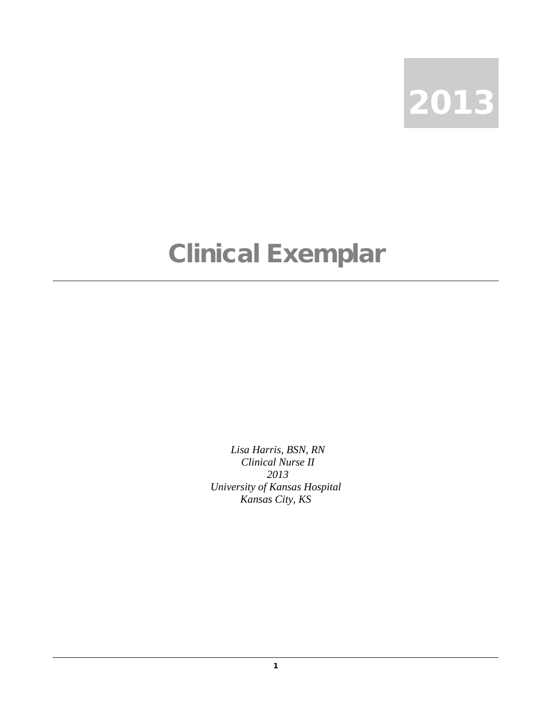

## Clinical Exemplar

*Lisa Harris, BSN, RN Clinical Nurse II 2013 University of Kansas Hospital Kansas City, KS*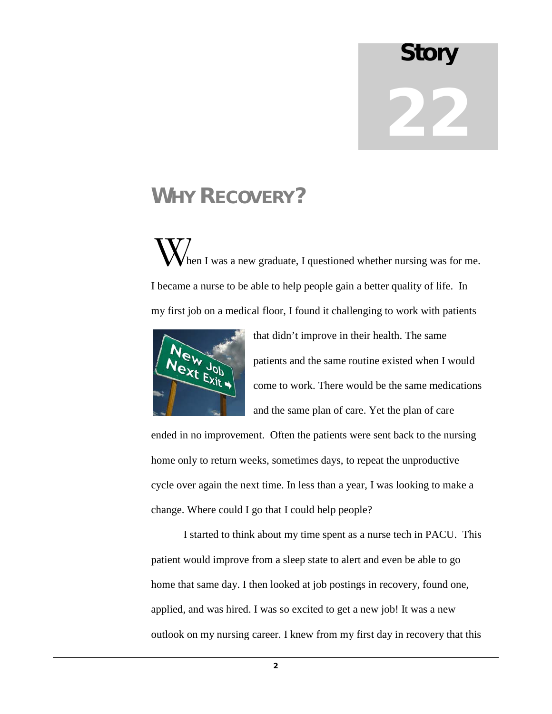## Story 22

## WHY RECOVERY?

hen I was a new graduate, I questioned whether nursing was for me. I became a nurse to be able to help people gain a better quality of life. In my first job on a medical floor, I found it challenging to work with patients  $\mathbf{W}_{\scriptscriptstyle{\textrm{hc}}}$ 



that didn't improve in their health. The same patients and the same routine existed when I would come to work. There would be the same medications and the same plan of care. Yet the plan of care

ended in no improvement. Often the patients were sent back to the nursing home only to return weeks, sometimes days, to repeat the unproductive cycle over again the next time. In less than a year, I was looking to make a change. Where could I go that I could help people?

I started to think about my time spent as a nurse tech in PACU. This patient would improve from a sleep state to alert and even be able to go home that same day. I then looked at job postings in recovery, found one, applied, and was hired. I was so excited to get a new job! It was a new outlook on my nursing career. I knew from my first day in recovery that this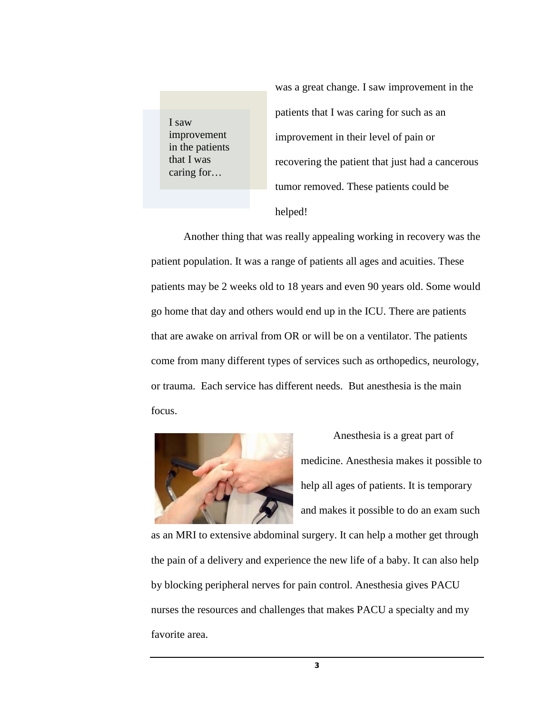I saw improvement in the patients that I was caring for…

was a great change. I saw improvement in the patients that I was caring for such as an improvement in their level of pain or recovering the patient that just had a cancerous tumor removed. These patients could be helped!

Another thing that was really appealing working in recovery was the patient population. It was a range of patients all ages and acuities. These patients may be 2 weeks old to 18 years and even 90 years old. Some would go home that day and others would end up in the ICU. There are patients that are awake on arrival from OR or will be on a ventilator. The patients come from many different types of services such as orthopedics, neurology, or trauma. Each service has different needs. But anesthesia is the main focus.



Anesthesia is a great part of medicine. Anesthesia makes it possible to help all ages of patients. It is temporary and makes it possible to do an exam such

as an MRI to extensive abdominal surgery. It can help a mother get through the pain of a delivery and experience the new life of a baby. It can also help by blocking peripheral nerves for pain control. Anesthesia gives PACU nurses the resources and challenges that makes PACU a specialty and my favorite area.